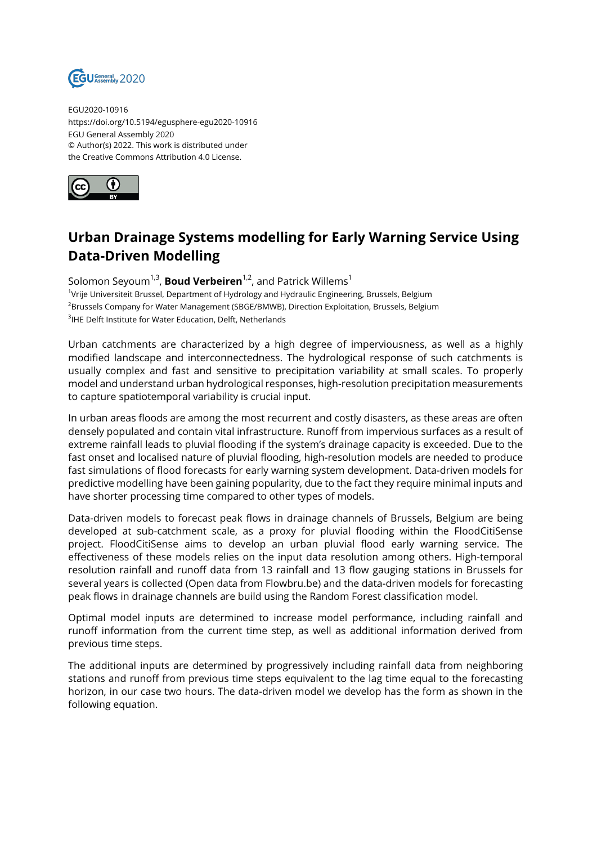

EGU2020-10916 https://doi.org/10.5194/egusphere-egu2020-10916 EGU General Assembly 2020 © Author(s) 2022. This work is distributed under the Creative Commons Attribution 4.0 License.



## **Urban Drainage Systems modelling for Early Warning Service Using Data-Driven Modelling**

Solomon Seyoum<sup>1,3</sup>, **Boud Verbeiren**<sup>1,2</sup>, and Patrick Willems<sup>1</sup> 1 Vrije Universiteit Brussel, Department of Hydrology and Hydraulic Engineering, Brussels, Belgium <sup>2</sup>Brussels Company for Water Management (SBGE/BMWB), Direction Exploitation, Brussels, Belgium  ${}^{3}$ IHE Delft Institute for Water Education, Delft, Netherlands

Urban catchments are characterized by a high degree of imperviousness, as well as a highly modified landscape and interconnectedness. The hydrological response of such catchments is usually complex and fast and sensitive to precipitation variability at small scales. To properly model and understand urban hydrological responses, high-resolution precipitation measurements to capture spatiotemporal variability is crucial input.

In urban areas floods are among the most recurrent and costly disasters, as these areas are often densely populated and contain vital infrastructure. Runoff from impervious surfaces as a result of extreme rainfall leads to pluvial flooding if the system's drainage capacity is exceeded. Due to the fast onset and localised nature of pluvial flooding, high-resolution models are needed to produce fast simulations of flood forecasts for early warning system development. Data-driven models for predictive modelling have been gaining popularity, due to the fact they require minimal inputs and have shorter processing time compared to other types of models.

Data-driven models to forecast peak flows in drainage channels of Brussels, Belgium are being developed at sub-catchment scale, as a proxy for pluvial flooding within the FloodCitiSense project. FloodCitiSense aims to develop an urban pluvial flood early warning service. The effectiveness of these models relies on the input data resolution among others. High-temporal resolution rainfall and runoff data from 13 rainfall and 13 flow gauging stations in Brussels for several years is collected (Open data from Flowbru.be) and the data-driven models for forecasting peak flows in drainage channels are build using the Random Forest classification model.

Optimal model inputs are determined to increase model performance, including rainfall and runoff information from the current time step, as well as additional information derived from previous time steps.

The additional inputs are determined by progressively including rainfall data from neighboring stations and runoff from previous time steps equivalent to the lag time equal to the forecasting horizon, in our case two hours. The data-driven model we develop has the form as shown in the following equation.